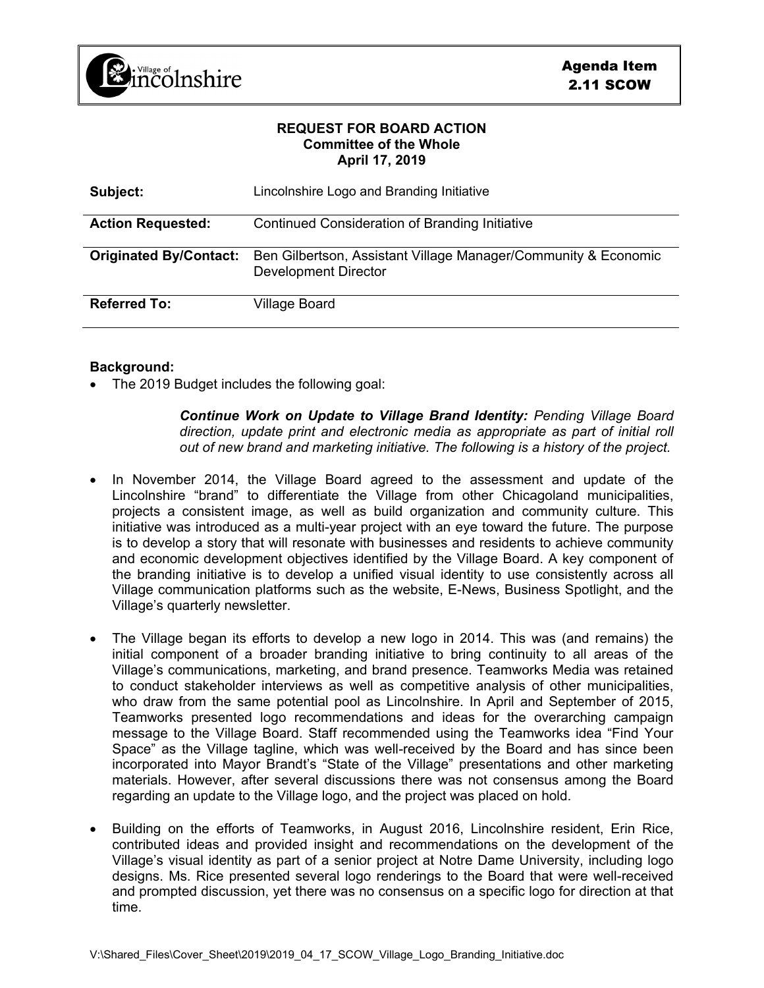

## **REQUEST FOR BOARD ACTION Committee of the Whole April 17, 2019**

| Subject:                      | Lincolnshire Logo and Branding Initiative                                              |
|-------------------------------|----------------------------------------------------------------------------------------|
| <b>Action Requested:</b>      | Continued Consideration of Branding Initiative                                         |
| <b>Originated By/Contact:</b> | Ben Gilbertson, Assistant Village Manager/Community & Economic<br>Development Director |
| <b>Referred To:</b>           | <b>Village Board</b>                                                                   |

## **Background:**

• The 2019 Budget includes the following goal:

*Continue Work on Update to Village Brand Identity: Pending Village Board direction, update print and electronic media as appropriate as part of initial roll out of new brand and marketing initiative. The following is a history of the project.*

- In November 2014, the Village Board agreed to the assessment and update of the Lincolnshire "brand" to differentiate the Village from other Chicagoland municipalities, projects a consistent image, as well as build organization and community culture. This initiative was introduced as a multi-year project with an eye toward the future. The purpose is to develop a story that will resonate with businesses and residents to achieve community and economic development objectives identified by the Village Board. A key component of the branding initiative is to develop a unified visual identity to use consistently across all Village communication platforms such as the website, E-News, Business Spotlight, and the Village's quarterly newsletter.
- The Village began its efforts to develop a new logo in 2014. This was (and remains) the initial component of a broader branding initiative to bring continuity to all areas of the Village's communications, marketing, and brand presence. Teamworks Media was retained to conduct stakeholder interviews as well as competitive analysis of other municipalities, who draw from the same potential pool as Lincolnshire. In April and September of 2015, Teamworks presented logo recommendations and ideas for the overarching campaign message to the Village Board. Staff recommended using the Teamworks idea "Find Your Space" as the Village tagline, which was well-received by the Board and has since been incorporated into Mayor Brandt's "State of the Village" presentations and other marketing materials. However, after several discussions there was not consensus among the Board regarding an update to the Village logo, and the project was placed on hold.
- Building on the efforts of Teamworks, in August 2016, Lincolnshire resident, Erin Rice, contributed ideas and provided insight and recommendations on the development of the Village's visual identity as part of a senior project at Notre Dame University, including logo designs. Ms. Rice presented several logo renderings to the Board that were well-received and prompted discussion, yet there was no consensus on a specific logo for direction at that time.